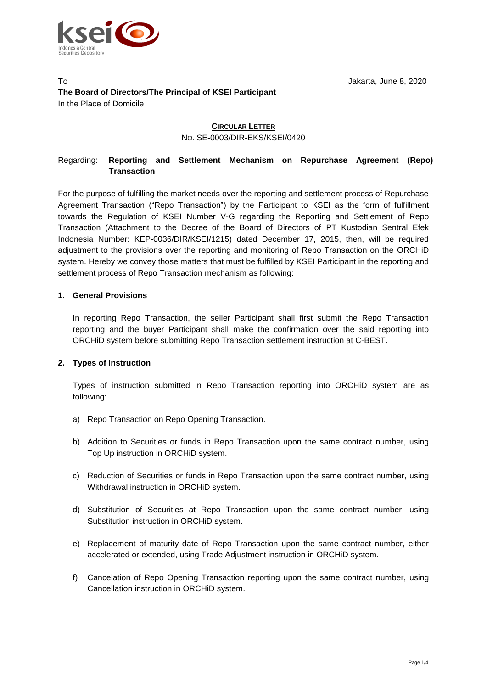

#### To Jakarta, June 8, 2020 **The Board of Directors/The Principal of KSEI Participant** In the Place of Domicile

# **CIRCULAR LETTER**

NO. SE-0003/DIR-EKS/KSEI/0420

# Regarding: **Reporting and Settlement Mechanism on Repurchase Agreement (Repo) Transaction**

For the purpose of fulfilling the market needs over the reporting and settlement process of Repurchase Agreement Transaction ("Repo Transaction") by the Participant to KSEI as the form of fulfillment towards the Regulation of KSEI Number V-G regarding the Reporting and Settlement of Repo Transaction (Attachment to the Decree of the Board of Directors of PT Kustodian Sentral Efek Indonesia Number: KEP-0036/DIR/KSEI/1215) dated December 17, 2015, then, will be required adjustment to the provisions over the reporting and monitoring of Repo Transaction on the ORCHiD system. Hereby we convey those matters that must be fulfilled by KSEI Participant in the reporting and settlement process of Repo Transaction mechanism as following:

### **1. General Provisions**

In reporting Repo Transaction, the seller Participant shall first submit the Repo Transaction reporting and the buyer Participant shall make the confirmation over the said reporting into ORCHiD system before submitting Repo Transaction settlement instruction at C-BEST.

#### **2. Types of Instruction**

Types of instruction submitted in Repo Transaction reporting into ORCHiD system are as following:

- a) Repo Transaction on Repo Opening Transaction.
- b) Addition to Securities or funds in Repo Transaction upon the same contract number, using Top Up instruction in ORCHiD system.
- c) Reduction of Securities or funds in Repo Transaction upon the same contract number, using Withdrawal instruction in ORCHiD system.
- d) Substitution of Securities at Repo Transaction upon the same contract number, using Substitution instruction in ORCHiD system.
- e) Replacement of maturity date of Repo Transaction upon the same contract number, either accelerated or extended, using Trade Adjustment instruction in ORCHiD system*.*
- f) Cancelation of Repo Opening Transaction reporting upon the same contract number, using Cancellation instruction in ORCHiD system.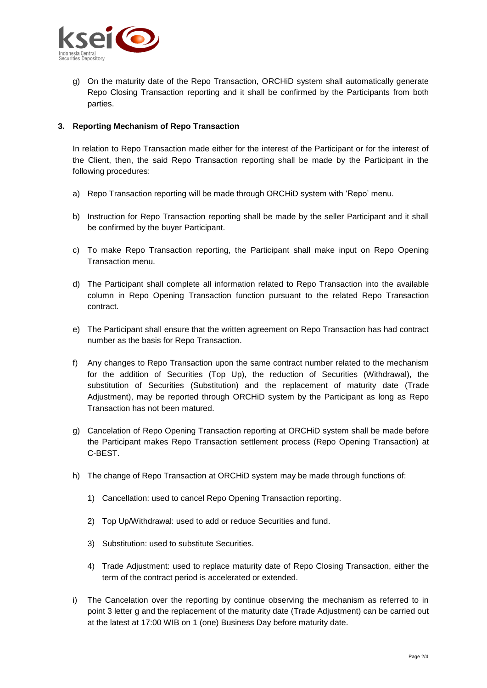

g) On the maturity date of the Repo Transaction, ORCHiD system shall automatically generate Repo Closing Transaction reporting and it shall be confirmed by the Participants from both parties.

### **3. Reporting Mechanism of Repo Transaction**

In relation to Repo Transaction made either for the interest of the Participant or for the interest of the Client, then, the said Repo Transaction reporting shall be made by the Participant in the following procedures:

- a) Repo Transaction reporting will be made through ORCHiD system with 'Repo' menu.
- b) Instruction for Repo Transaction reporting shall be made by the seller Participant and it shall be confirmed by the buyer Participant.
- c) To make Repo Transaction reporting, the Participant shall make input on Repo Opening Transaction menu.
- d) The Participant shall complete all information related to Repo Transaction into the available column in Repo Opening Transaction function pursuant to the related Repo Transaction contract.
- e) The Participant shall ensure that the written agreement on Repo Transaction has had contract number as the basis for Repo Transaction.
- f) Any changes to Repo Transaction upon the same contract number related to the mechanism for the addition of Securities (Top Up), the reduction of Securities (Withdrawal), the substitution of Securities (Substitution) and the replacement of maturity date (Trade Adjustment), may be reported through ORCHiD system by the Participant as long as Repo Transaction has not been matured.
- g) Cancelation of Repo Opening Transaction reporting at ORCHiD system shall be made before the Participant makes Repo Transaction settlement process (Repo Opening Transaction) at C-BEST.
- h) The change of Repo Transaction at ORCHiD system may be made through functions of:
	- 1) Cancellation: used to cancel Repo Opening Transaction reporting.
	- 2) Top Up/Withdrawal: used to add or reduce Securities and fund.
	- 3) Substitution: used to substitute Securities.
	- 4) Trade Adjustment: used to replace maturity date of Repo Closing Transaction, either the term of the contract period is accelerated or extended.
- i) The Cancelation over the reporting by continue observing the mechanism as referred to in point 3 letter g and the replacement of the maturity date (Trade Adjustment) can be carried out at the latest at 17:00 WIB on 1 (one) Business Day before maturity date.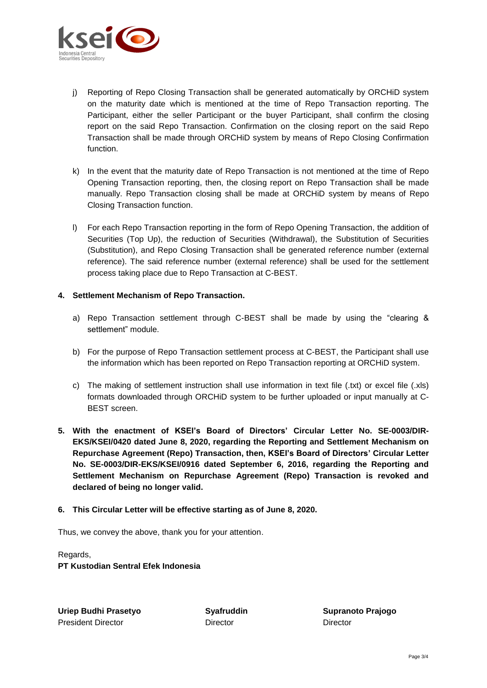

- j) Reporting of Repo Closing Transaction shall be generated automatically by ORCHiD system on the maturity date which is mentioned at the time of Repo Transaction reporting. The Participant, either the seller Participant or the buyer Participant, shall confirm the closing report on the said Repo Transaction. Confirmation on the closing report on the said Repo Transaction shall be made through ORCHiD system by means of Repo Closing Confirmation function.
- k) In the event that the maturity date of Repo Transaction is not mentioned at the time of Repo Opening Transaction reporting, then, the closing report on Repo Transaction shall be made manually. Repo Transaction closing shall be made at ORCHiD system by means of Repo Closing Transaction function.
- l) For each Repo Transaction reporting in the form of Repo Opening Transaction, the addition of Securities (Top Up), the reduction of Securities (Withdrawal), the Substitution of Securities (Substitution), and Repo Closing Transaction shall be generated reference number (external reference). The said reference number (external reference) shall be used for the settlement process taking place due to Repo Transaction at C-BEST.

#### **4. Settlement Mechanism of Repo Transaction.**

- a) Repo Transaction settlement through C-BEST shall be made by using the "clearing & settlement" module.
- b) For the purpose of Repo Transaction settlement process at C-BEST, the Participant shall use the information which has been reported on Repo Transaction reporting at ORCHiD system.
- c) The making of settlement instruction shall use information in text file (.txt) or excel file (.xls) formats downloaded through ORCHiD system to be further uploaded or input manually at C-BEST screen.
- **5. With the enactment of KSEI's Board of Directors' Circular Letter No. SE-0003/DIR-EKS/KSEI/0420 dated June 8, 2020, regarding the Reporting and Settlement Mechanism on Repurchase Agreement (Repo) Transaction, then, KSEI's Board of Directors' Circular Letter No. SE-0003/DIR-EKS/KSEI/0916 dated September 6, 2016, regarding the Reporting and Settlement Mechanism on Repurchase Agreement (Repo) Transaction is revoked and declared of being no longer valid.**

## **6. This Circular Letter will be effective starting as of June 8, 2020.**

Thus, we convey the above, thank you for your attention.

Regards, **PT Kustodian Sentral Efek Indonesia**

**Uriep Budhi Prasetyo Syafruddin Supranoto Prajogo** President Director **Director** Director **Director** Director **Director**